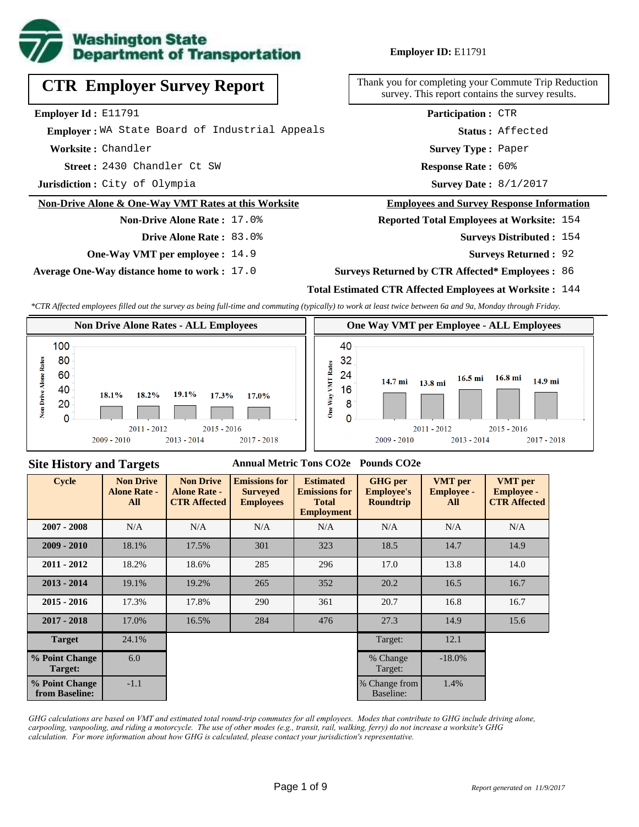

## **Employer ID:** E11791

**CTR Employer Survey Report**

**Employer Id :** E11791

 **Employer :** WA State Board of Industrial Appeals

**Worksite :** Chandler

2430 Chandler Ct SW **Response Rate : Street :**

**Jurisdiction :** City of Olympia

### **Non-Drive Alone & One-Way VMT Rates at this Worksite**

**Drive Alone Rate :** 83.0%

**Non-Drive Alone Rate :** 17.0%

**One-Way VMT per employee :** 14.9

**Average One-Way distance home to work :** 17.0

Thank you for completing your Commute Trip Reduction survey. This report contains the survey results.

> Response Rate: 60% **Survey Type :** Paper **Status :** Affected **Participation :** CTR

Survey Date:  $8/1/2017$ 

#### **Employees and Survey Response Information**

**Reported Total Employees at Worksite:** 154

- Surveys Distributed : 154
	- **Surveys Returned :** 92

#### **Surveys Returned by CTR Affected\* Employees :** 86

### **Total Estimated CTR Affected Employees at Worksite :** 144

*\*CTR Affected employees filled out the survey as being full-time and commuting (typically) to work at least twice between 6a and 9a, Monday through Friday.*



### **Site History and Targets**

#### **Annual Metric Tons CO2e Pounds CO2e**

| <b>Cycle</b>                     | <b>Non Drive</b><br><b>Alone Rate -</b><br>All | <b>Non Drive</b><br><b>Alone Rate -</b><br><b>CTR Affected</b> | <b>Emissions for</b><br><b>Surveyed</b><br><b>Employees</b> | <b>Estimated</b><br><b>Emissions for</b><br><b>Total</b><br><b>Employment</b> | <b>GHG</b> per<br><b>Employee's</b><br><b>Roundtrip</b> | <b>VMT</b> per<br><b>Employee -</b><br>All | <b>VMT</b> per<br><b>Employee -</b><br><b>CTR Affected</b> |
|----------------------------------|------------------------------------------------|----------------------------------------------------------------|-------------------------------------------------------------|-------------------------------------------------------------------------------|---------------------------------------------------------|--------------------------------------------|------------------------------------------------------------|
| $2007 - 2008$                    | N/A                                            | N/A                                                            | N/A                                                         | N/A                                                                           | N/A                                                     | N/A                                        | N/A                                                        |
| $2009 - 2010$                    | 18.1%                                          | 17.5%                                                          | 301                                                         | 323                                                                           | 18.5                                                    | 14.7                                       | 14.9                                                       |
| $2011 - 2012$                    | 18.2%                                          | 18.6%                                                          | 285                                                         | 296                                                                           | 17.0                                                    | 13.8                                       | 14.0                                                       |
| $2013 - 2014$                    | 19.1%                                          | 19.2%                                                          | 265                                                         | 352                                                                           | 20.2                                                    | 16.5                                       | 16.7                                                       |
| $2015 - 2016$                    | 17.3%                                          | 17.8%                                                          | 290                                                         | 361                                                                           | 20.7                                                    | 16.8                                       | 16.7                                                       |
| $2017 - 2018$                    | 17.0%                                          | 16.5%                                                          | 284                                                         | 476                                                                           | 27.3                                                    | 14.9                                       | 15.6                                                       |
| <b>Target</b>                    | 24.1%                                          |                                                                |                                                             |                                                                               | Target:                                                 | 12.1                                       |                                                            |
| % Point Change<br>Target:        | 6.0                                            |                                                                |                                                             |                                                                               | % Change<br>Target:                                     | $-18.0\%$                                  |                                                            |
| % Point Change<br>from Baseline: | $-1.1$                                         |                                                                |                                                             |                                                                               | % Change from<br>Baseline:                              | 1.4%                                       |                                                            |

*GHG calculations are based on VMT and estimated total round-trip commutes for all employees. Modes that contribute to GHG include driving alone, carpooling, vanpooling, and riding a motorcycle. The use of other modes (e.g., transit, rail, walking, ferry) do not increase a worksite's GHG calculation. For more information about how GHG is calculated, please contact your jurisdiction's representative.*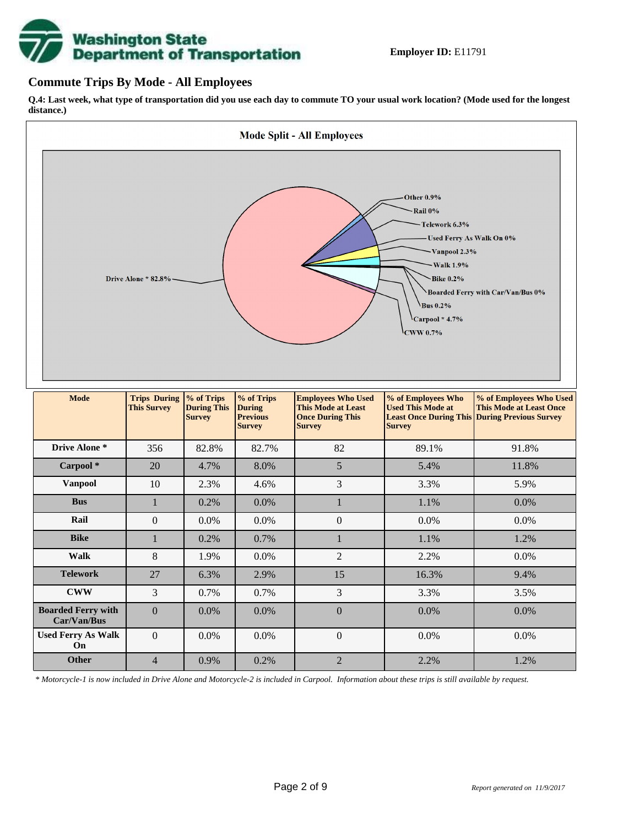

## **Commute Trips By Mode - All Employees**

**Q.4: Last week, what type of transportation did you use each day to commute TO your usual work location? (Mode used for the longest distance.)**



*\* Motorcycle-1 is now included in Drive Alone and Motorcycle-2 is included in Carpool. Information about these trips is still available by request.*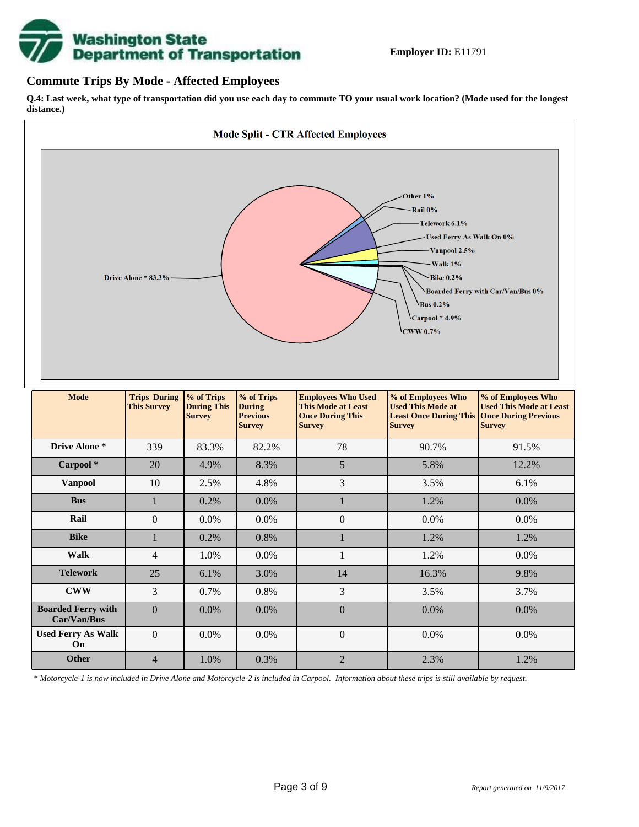

## **Commute Trips By Mode - Affected Employees**

**Q.4: Last week, what type of transportation did you use each day to commute TO your usual work location? (Mode used for the longest distance.)**



*\* Motorcycle-1 is now included in Drive Alone and Motorcycle-2 is included in Carpool. Information about these trips is still available by request.*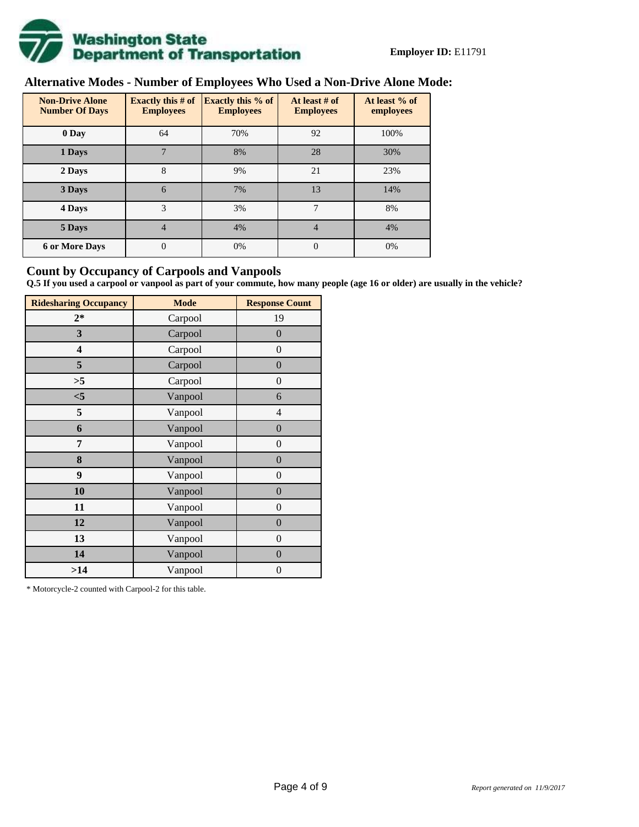

# **Alternative Modes - Number of Employees Who Used a Non-Drive Alone Mode:**

| <b>Non-Drive Alone</b><br><b>Number Of Days</b> | Exactly this $# of$<br><b>Employees</b> | <b>Exactly this % of</b><br><b>Employees</b> | At least # of<br><b>Employees</b> | At least % of<br>employees |
|-------------------------------------------------|-----------------------------------------|----------------------------------------------|-----------------------------------|----------------------------|
| 0 Day                                           | 64                                      | 70%                                          | 92                                | 100%                       |
| 1 Days                                          | 7                                       | 8%                                           | 28                                | 30%                        |
| 2 Days                                          | 8                                       | 9%                                           | 21                                | 23%                        |
| 3 Days                                          | 6                                       | 7%                                           | 13                                | 14%                        |
| 4 Days                                          | 3                                       | 3%                                           | 7                                 | 8%                         |
| 5 Days                                          | 4                                       | 4%                                           | $\overline{4}$                    | 4%                         |
| <b>6 or More Days</b>                           | 0                                       | 0%                                           | $\Omega$                          | 0%                         |

## **Count by Occupancy of Carpools and Vanpools**

**Q.5 If you used a carpool or vanpool as part of your commute, how many people (age 16 or older) are usually in the vehicle?**

| <b>Ridesharing Occupancy</b> | <b>Mode</b> | <b>Response Count</b> |
|------------------------------|-------------|-----------------------|
| $2*$                         | Carpool     | 19                    |
| 3                            | Carpool     | $\overline{0}$        |
| 4                            | Carpool     | $\boldsymbol{0}$      |
| 5                            | Carpool     | $\boldsymbol{0}$      |
| >5                           | Carpool     | $\overline{0}$        |
| $<$ 5                        | Vanpool     | 6                     |
| 5                            | Vanpool     | $\overline{4}$        |
| 6                            | Vanpool     | $\boldsymbol{0}$      |
| 7                            | Vanpool     | $\overline{0}$        |
| 8                            | Vanpool     | $\boldsymbol{0}$      |
| 9                            | Vanpool     | $\overline{0}$        |
| 10                           | Vanpool     | $\overline{0}$        |
| 11                           | Vanpool     | $\boldsymbol{0}$      |
| 12                           | Vanpool     | $\boldsymbol{0}$      |
| 13                           | Vanpool     | $\boldsymbol{0}$      |
| 14                           | Vanpool     | $\overline{0}$        |
| >14                          | Vanpool     | $\boldsymbol{0}$      |

\* Motorcycle-2 counted with Carpool-2 for this table.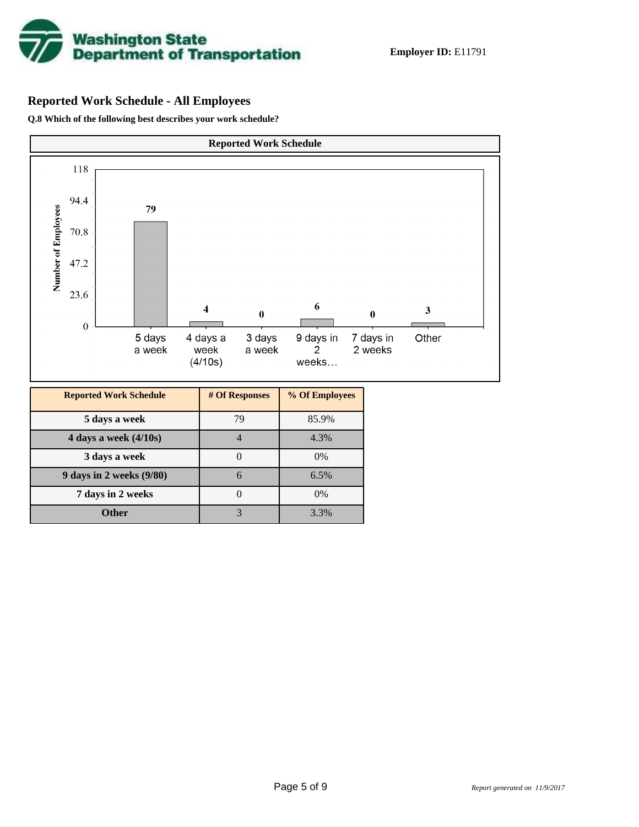

## **Reported Work Schedule - All Employees**

**Q.8 Which of the following best describes your work schedule?**

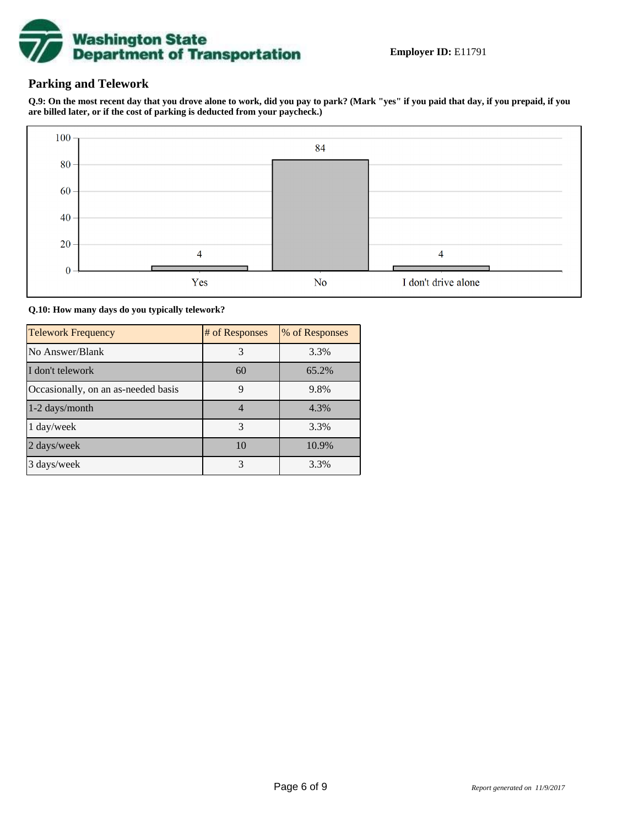

## **Parking and Telework**

**Q.9: On the most recent day that you drove alone to work, did you pay to park? (Mark "yes" if you paid that day, if you prepaid, if you are billed later, or if the cost of parking is deducted from your paycheck.)**



**Q.10: How many days do you typically telework?**

| <b>Telework Frequency</b>           | # of Responses | % of Responses |
|-------------------------------------|----------------|----------------|
| No Answer/Blank                     | 3              | 3.3%           |
| I don't telework                    | 60             | 65.2%          |
| Occasionally, on an as-needed basis | 9              | 9.8%           |
| 1-2 days/month                      | $\overline{4}$ | 4.3%           |
| 1 day/week                          | 3              | 3.3%           |
| 2 days/week                         | 10             | 10.9%          |
| 3 days/week                         | 3              | 3.3%           |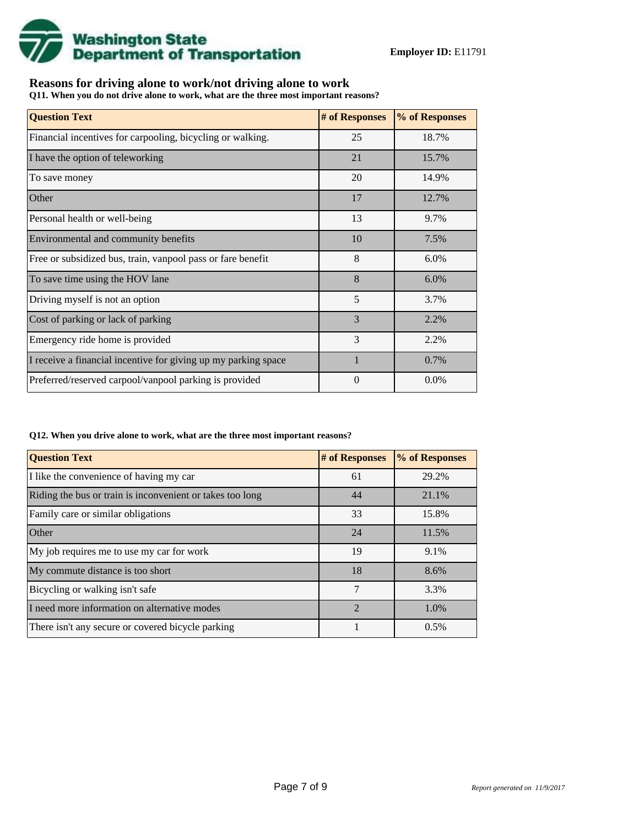

## **Reasons for driving alone to work/not driving alone to work**

**Q11. When you do not drive alone to work, what are the three most important reasons?**

| <b>Question Text</b>                                           | # of Responses | % of Responses |
|----------------------------------------------------------------|----------------|----------------|
| Financial incentives for carpooling, bicycling or walking.     | 25             | 18.7%          |
| I have the option of teleworking                               | 21             | 15.7%          |
| To save money                                                  | 20             | 14.9%          |
| Other                                                          | 17             | 12.7%          |
| Personal health or well-being                                  | 13             | 9.7%           |
| Environmental and community benefits                           | 10             | 7.5%           |
| Free or subsidized bus, train, vanpool pass or fare benefit    | 8              | 6.0%           |
| To save time using the HOV lane                                | 8              | $6.0\%$        |
| Driving myself is not an option                                | 5              | 3.7%           |
| Cost of parking or lack of parking                             | 3              | 2.2%           |
| Emergency ride home is provided                                | 3              | 2.2%           |
| I receive a financial incentive for giving up my parking space | $\mathbf{1}$   | 0.7%           |
| Preferred/reserved carpool/vanpool parking is provided         | 0              | $0.0\%$        |

#### **Q12. When you drive alone to work, what are the three most important reasons?**

| <b>Question Text</b>                                      | # of Responses | % of Responses |
|-----------------------------------------------------------|----------------|----------------|
| I like the convenience of having my car                   | 61             | 29.2%          |
| Riding the bus or train is inconvenient or takes too long | 44             | 21.1%          |
| Family care or similar obligations                        | 33             | 15.8%          |
| Other                                                     | 24             | 11.5%          |
| My job requires me to use my car for work                 | 19             | 9.1%           |
| My commute distance is too short                          | 18             | 8.6%           |
| Bicycling or walking isn't safe                           | 7              | 3.3%           |
| I need more information on alternative modes              | $\mathfrak{D}$ | 1.0%           |
| There isn't any secure or covered bicycle parking         |                | 0.5%           |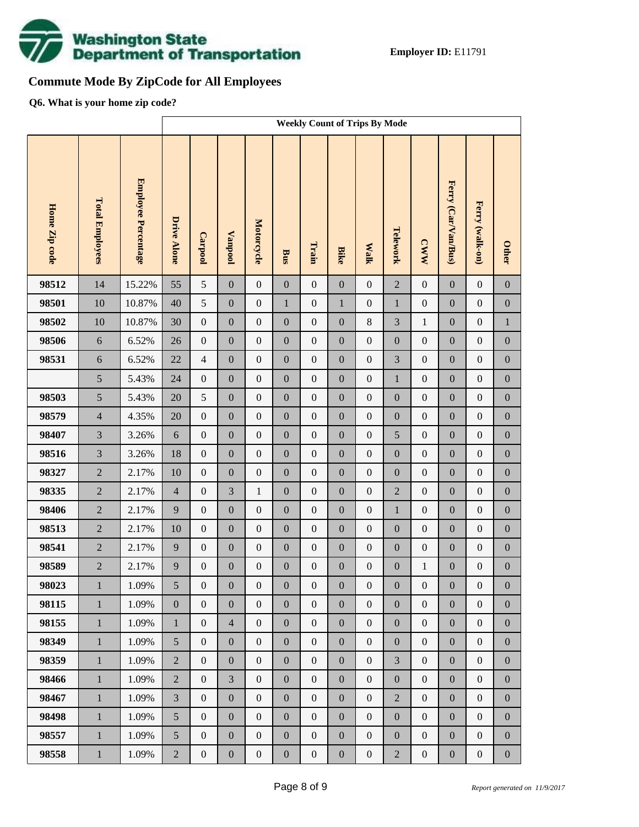

# **Commute Mode By ZipCode for All Employees**

**Q6. What is your home zip code?**

|               |                        |                     | <b>Weekly Count of Trips By Mode</b> |                  |                  |                  |                  |                  |                  |                  |                  |                  |                     |                  |                  |
|---------------|------------------------|---------------------|--------------------------------------|------------------|------------------|------------------|------------------|------------------|------------------|------------------|------------------|------------------|---------------------|------------------|------------------|
| Home Zip code | <b>Total Employees</b> | Employee Percentage | <b>Drive Alone</b>                   | Carpool          | <b>Vanpool</b>   | Motorcycle       | <b>Bus</b>       | Train            | <b>Bike</b>      | <b>Walk</b>      | Telework         | <b>CWW</b>       | Ferry (Car/Van/Bus) | Ferry (walk-on)  | <b>Other</b>     |
| 98512         | 14                     | 15.22%              | 55                                   | 5                | $\boldsymbol{0}$ | $\boldsymbol{0}$ | $\boldsymbol{0}$ | $\boldsymbol{0}$ | $\boldsymbol{0}$ | $\boldsymbol{0}$ | $\overline{2}$   | $\boldsymbol{0}$ | $\mathbf{0}$        | $\boldsymbol{0}$ | $\boldsymbol{0}$ |
| 98501         | 10                     | 10.87%              | 40                                   | 5                | $\boldsymbol{0}$ | $\boldsymbol{0}$ | $\mathbf{1}$     | $\boldsymbol{0}$ | $\mathbf 1$      | $\boldsymbol{0}$ | $\mathbf{1}$     | $\boldsymbol{0}$ | $\boldsymbol{0}$    | $\boldsymbol{0}$ | $\boldsymbol{0}$ |
| 98502         | 10                     | 10.87%              | 30                                   | $\boldsymbol{0}$ | $\boldsymbol{0}$ | $\boldsymbol{0}$ | $\boldsymbol{0}$ | $\boldsymbol{0}$ | $\boldsymbol{0}$ | $8\,$            | 3                | $\,1$            | $\boldsymbol{0}$    | $\boldsymbol{0}$ | $\,1$            |
| 98506         | $\sqrt{6}$             | 6.52%               | 26                                   | $\boldsymbol{0}$ | $\boldsymbol{0}$ | $\boldsymbol{0}$ | $\boldsymbol{0}$ | $\boldsymbol{0}$ | $\overline{0}$   | $\boldsymbol{0}$ | $\boldsymbol{0}$ | $\boldsymbol{0}$ | $\boldsymbol{0}$    | $\boldsymbol{0}$ | $\boldsymbol{0}$ |
| 98531         | $\sqrt{6}$             | 6.52%               | $22\,$                               | $\overline{4}$   | $\boldsymbol{0}$ | $\boldsymbol{0}$ | $\boldsymbol{0}$ | $\boldsymbol{0}$ | $\boldsymbol{0}$ | $\boldsymbol{0}$ | 3                | $\boldsymbol{0}$ | $\boldsymbol{0}$    | $\boldsymbol{0}$ | $\boldsymbol{0}$ |
|               | 5                      | 5.43%               | 24                                   | $\boldsymbol{0}$ | $\boldsymbol{0}$ | $\boldsymbol{0}$ | $\boldsymbol{0}$ | $\boldsymbol{0}$ | $\overline{0}$   | $\boldsymbol{0}$ | $\mathbf{1}$     | $\boldsymbol{0}$ | $\boldsymbol{0}$    | $\boldsymbol{0}$ | $\boldsymbol{0}$ |
| 98503         | 5                      | 5.43%               | 20                                   | $\sqrt{5}$       | $\boldsymbol{0}$ | $\boldsymbol{0}$ | $\boldsymbol{0}$ | $\boldsymbol{0}$ | $\boldsymbol{0}$ | $\boldsymbol{0}$ | $\boldsymbol{0}$ | $\boldsymbol{0}$ | $\boldsymbol{0}$    | $\boldsymbol{0}$ | $\boldsymbol{0}$ |
| 98579         | $\overline{4}$         | 4.35%               | 20                                   | $\boldsymbol{0}$ | $\boldsymbol{0}$ | $\boldsymbol{0}$ | $\boldsymbol{0}$ | $\boldsymbol{0}$ | $\overline{0}$   | $\boldsymbol{0}$ | $\boldsymbol{0}$ | $\boldsymbol{0}$ | $\boldsymbol{0}$    | $\boldsymbol{0}$ | $\boldsymbol{0}$ |
| 98407         | $\overline{3}$         | 3.26%               | $\sqrt{6}$                           | $\boldsymbol{0}$ | $\boldsymbol{0}$ | $\boldsymbol{0}$ | $\boldsymbol{0}$ | $\boldsymbol{0}$ | $\boldsymbol{0}$ | $\boldsymbol{0}$ | 5                | $\boldsymbol{0}$ | $\boldsymbol{0}$    | $\boldsymbol{0}$ | $\boldsymbol{0}$ |
| 98516         | $\overline{3}$         | 3.26%               | 18                                   | $\boldsymbol{0}$ | $\boldsymbol{0}$ | $\boldsymbol{0}$ | $\boldsymbol{0}$ | $\boldsymbol{0}$ | $\overline{0}$   | $\boldsymbol{0}$ | $\boldsymbol{0}$ | $\boldsymbol{0}$ | $\boldsymbol{0}$    | $\boldsymbol{0}$ | $\boldsymbol{0}$ |
| 98327         | $\overline{2}$         | 2.17%               | 10                                   | $\boldsymbol{0}$ | $\boldsymbol{0}$ | $\boldsymbol{0}$ | $\boldsymbol{0}$ | $\boldsymbol{0}$ | $\boldsymbol{0}$ | $\boldsymbol{0}$ | $\boldsymbol{0}$ | $\boldsymbol{0}$ | $\boldsymbol{0}$    | $\boldsymbol{0}$ | $\boldsymbol{0}$ |
| 98335         | $\overline{2}$         | 2.17%               | $\overline{4}$                       | $\boldsymbol{0}$ | 3                | $\mathbf{1}$     | $\boldsymbol{0}$ | $\boldsymbol{0}$ | $\boldsymbol{0}$ | $\boldsymbol{0}$ | $\overline{2}$   | $\boldsymbol{0}$ | $\boldsymbol{0}$    | $\boldsymbol{0}$ | $\boldsymbol{0}$ |
| 98406         | $\overline{2}$         | 2.17%               | 9                                    | $\boldsymbol{0}$ | $\boldsymbol{0}$ | $\boldsymbol{0}$ | $\boldsymbol{0}$ | $\boldsymbol{0}$ | $\boldsymbol{0}$ | $\boldsymbol{0}$ | $\mathbf{1}$     | $\boldsymbol{0}$ | $\boldsymbol{0}$    | $\boldsymbol{0}$ | $\boldsymbol{0}$ |
| 98513         | $\overline{2}$         | 2.17%               | 10                                   | $\boldsymbol{0}$ | $\boldsymbol{0}$ | $\boldsymbol{0}$ | $\boldsymbol{0}$ | $\boldsymbol{0}$ | $\overline{0}$   | $\boldsymbol{0}$ | $\boldsymbol{0}$ | $\boldsymbol{0}$ | $\boldsymbol{0}$    | $\boldsymbol{0}$ | $\boldsymbol{0}$ |
| 98541         | $\overline{2}$         | 2.17%               | 9                                    | $\boldsymbol{0}$ | $\boldsymbol{0}$ | $\boldsymbol{0}$ | $\boldsymbol{0}$ | $\boldsymbol{0}$ | $\boldsymbol{0}$ | $\boldsymbol{0}$ | $\boldsymbol{0}$ | $\boldsymbol{0}$ | $\boldsymbol{0}$    | $\boldsymbol{0}$ | $\boldsymbol{0}$ |
| 98589         | $\overline{2}$         | 2.17%               | 9                                    | $\boldsymbol{0}$ | $\boldsymbol{0}$ | $\boldsymbol{0}$ | $\boldsymbol{0}$ | $\boldsymbol{0}$ | $\mathbf{0}$     | $\boldsymbol{0}$ | $\boldsymbol{0}$ | $\mathbf{1}$     | $\boldsymbol{0}$    | $\boldsymbol{0}$ | $\boldsymbol{0}$ |
| 98023         | $\mathbf{1}$           | 1.09%               | 5                                    | $\boldsymbol{0}$ | $\boldsymbol{0}$ | $\boldsymbol{0}$ | $\boldsymbol{0}$ | $\boldsymbol{0}$ | $\boldsymbol{0}$ | $\mathbf{0}$     | $\boldsymbol{0}$ | $\boldsymbol{0}$ | $\boldsymbol{0}$    | $\boldsymbol{0}$ | $\boldsymbol{0}$ |
| 98115         | $\mathbf{1}$           | 1.09%               | $\boldsymbol{0}$                     | $\overline{0}$   | $\boldsymbol{0}$ | $\boldsymbol{0}$ | $\boldsymbol{0}$ | $\boldsymbol{0}$ | $\overline{0}$   | $\boldsymbol{0}$ | $\boldsymbol{0}$ | $\boldsymbol{0}$ | $\boldsymbol{0}$    | $\boldsymbol{0}$ | $\overline{0}$   |
| 98155         | $\mathbf{1}$           | 1.09%               | $\mathbf{1}$                         | $\boldsymbol{0}$ | $\overline{4}$   | $\boldsymbol{0}$ | $\boldsymbol{0}$ | $\boldsymbol{0}$ | $\overline{0}$   | $\boldsymbol{0}$ | $\boldsymbol{0}$ | $\boldsymbol{0}$ | $\boldsymbol{0}$    | $\boldsymbol{0}$ | $\boldsymbol{0}$ |
| 98349         | $\mathbf{1}$           | 1.09%               | 5                                    | $\boldsymbol{0}$ | $\boldsymbol{0}$ | $\boldsymbol{0}$ | $\boldsymbol{0}$ | $\boldsymbol{0}$ | $\boldsymbol{0}$ | $\boldsymbol{0}$ | $\boldsymbol{0}$ | $\boldsymbol{0}$ | $\boldsymbol{0}$    | $\boldsymbol{0}$ | $\boldsymbol{0}$ |
| 98359         | $\mathbf{1}$           | 1.09%               | $\overline{2}$                       | $\boldsymbol{0}$ | $\boldsymbol{0}$ | $\boldsymbol{0}$ | $\overline{0}$   | $\boldsymbol{0}$ | $\overline{0}$   | $\boldsymbol{0}$ | $\overline{3}$   | $\boldsymbol{0}$ | $\boldsymbol{0}$    | $\boldsymbol{0}$ | $\boldsymbol{0}$ |
| 98466         | $\mathbf{1}$           | 1.09%               | $\overline{2}$                       | $\boldsymbol{0}$ | $\overline{3}$   | $\boldsymbol{0}$ | $\boldsymbol{0}$ | $\boldsymbol{0}$ | $\boldsymbol{0}$ | $\boldsymbol{0}$ | $\boldsymbol{0}$ | $\boldsymbol{0}$ | $\boldsymbol{0}$    | $\boldsymbol{0}$ | $\boldsymbol{0}$ |
| 98467         | $\mathbf{1}$           | 1.09%               | $\overline{3}$                       | $\boldsymbol{0}$ | $\boldsymbol{0}$ | $\overline{0}$   | $\overline{0}$   | $\mathbf{0}$     | $\overline{0}$   | $\boldsymbol{0}$ | $\overline{2}$   | $\boldsymbol{0}$ | $\boldsymbol{0}$    | $\boldsymbol{0}$ | $\boldsymbol{0}$ |
| 98498         | $\mathbf{1}$           | 1.09%               | 5                                    | $\boldsymbol{0}$ | $\boldsymbol{0}$ | $\boldsymbol{0}$ | $\boldsymbol{0}$ | $\boldsymbol{0}$ | $\boldsymbol{0}$ | $\boldsymbol{0}$ | $\boldsymbol{0}$ | $\boldsymbol{0}$ | $\boldsymbol{0}$    | $\boldsymbol{0}$ | $\boldsymbol{0}$ |
| 98557         | $\mathbf{1}$           | 1.09%               | 5                                    | $\boldsymbol{0}$ | $\boldsymbol{0}$ | $\boldsymbol{0}$ | $\boldsymbol{0}$ | $\boldsymbol{0}$ | $\overline{0}$   | $\boldsymbol{0}$ | $\boldsymbol{0}$ | $\boldsymbol{0}$ | $\boldsymbol{0}$    | $\boldsymbol{0}$ | $\boldsymbol{0}$ |
| 98558         | $1\,$                  | 1.09%               | $\overline{2}$                       | $\boldsymbol{0}$ | $\boldsymbol{0}$ | $\boldsymbol{0}$ | $\boldsymbol{0}$ | $\boldsymbol{0}$ | $\boldsymbol{0}$ | $\boldsymbol{0}$ | $\overline{2}$   | $\boldsymbol{0}$ | $\boldsymbol{0}$    | $\boldsymbol{0}$ | $\boldsymbol{0}$ |